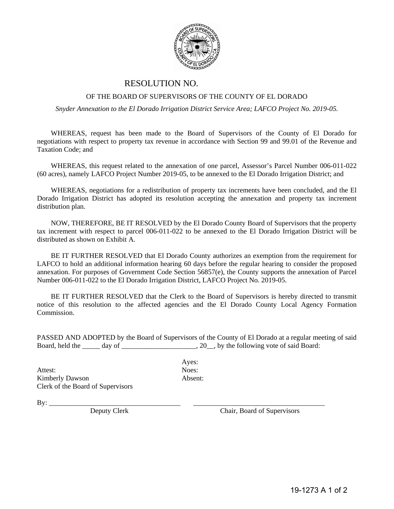

## RESOLUTION NO.

## OF THE BOARD OF SUPERVISORS OF THE COUNTY OF EL DORADO

*Snyder Annexation to the El Dorado Irrigation District Service Area; LAFCO Project No. 2019-05.* 

WHEREAS, request has been made to the Board of Supervisors of the County of El Dorado for negotiations with respect to property tax revenue in accordance with Section 99 and 99.01 of the Revenue and Taxation Code; and

WHEREAS, this request related to the annexation of one parcel, Assessor's Parcel Number 006-011-022 (60 acres), namely LAFCO Project Number 2019-05, to be annexed to the El Dorado Irrigation District; and

WHEREAS, negotiations for a redistribution of property tax increments have been concluded, and the El Dorado Irrigation District has adopted its resolution accepting the annexation and property tax increment distribution plan.

NOW, THEREFORE, BE IT RESOLVED by the El Dorado County Board of Supervisors that the property tax increment with respect to parcel 006-011-022 to be annexed to the El Dorado Irrigation District will be distributed as shown on Exhibit A.

BE IT FURTHER RESOLVED that El Dorado County authorizes an exemption from the requirement for LAFCO to hold an additional information hearing 60 days before the regular hearing to consider the proposed annexation. For purposes of Government Code Section 56857(e), the County supports the annexation of Parcel Number 006-011-022 to the El Dorado Irrigation District, LAFCO Project No. 2019-05.

BE IT FURTHER RESOLVED that the Clerk to the Board of Supervisors is hereby directed to transmit notice of this resolution to the affected agencies and the El Dorado County Local Agency Formation Commission.

PASSED AND ADOPTED by the Board of Supervisors of the County of El Dorado at a regular meeting of said Board, held the \_\_\_\_\_ day of \_\_\_\_\_\_\_\_\_\_\_\_\_\_\_\_\_\_, 20\_\_, by the following vote of said Board:

Attest: Noes: Kimberly Dawson Absent: Clerk of the Board of Supervisors

Ayes:

By: \_\_\_\_\_\_\_\_\_\_\_\_\_\_\_\_\_\_\_\_\_\_\_\_\_\_\_\_\_\_\_\_\_\_\_\_\_ \_\_\_\_\_\_\_\_\_\_\_\_\_\_\_\_\_\_\_\_\_\_\_\_\_\_\_\_\_\_\_\_\_\_\_\_\_

Chair, Board of Supervisors